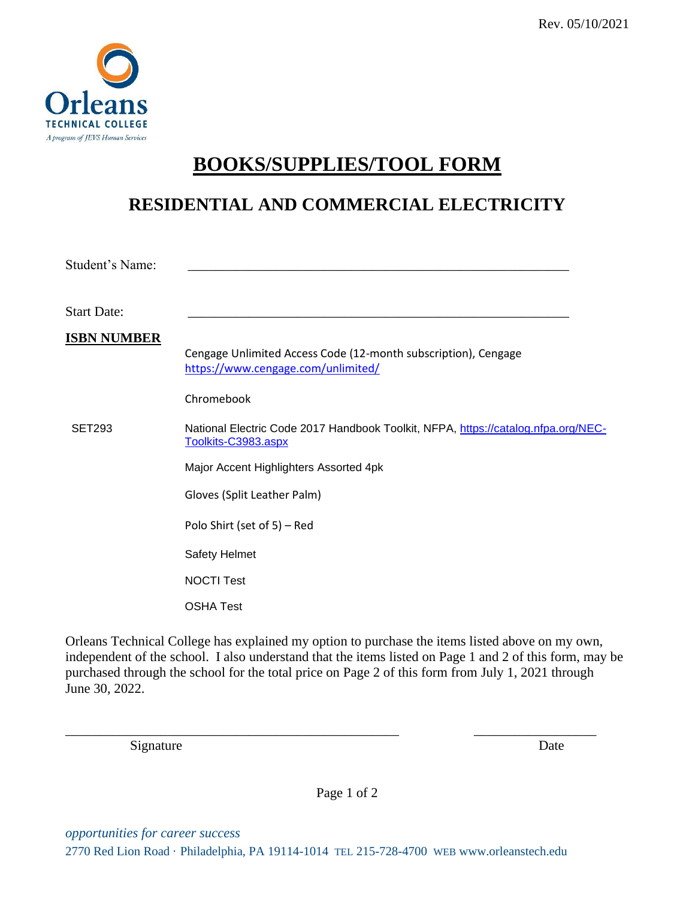

## **BOOKS/SUPPLIES/TOOL FORM**

### **RESIDENTIAL AND COMMERCIAL ELECTRICITY**

| Student's Name:    |                                                                                                          |
|--------------------|----------------------------------------------------------------------------------------------------------|
| <b>Start Date:</b> |                                                                                                          |
| <b>ISBN NUMBER</b> | Cengage Unlimited Access Code (12-month subscription), Cengage<br>https://www.cengage.com/unlimited/     |
|                    | Chromebook                                                                                               |
| <b>SET293</b>      | National Electric Code 2017 Handbook Toolkit, NFPA, https://catalog.nfpa.org/NEC-<br>Toolkits-C3983.aspx |
|                    | Major Accent Highlighters Assorted 4pk                                                                   |
|                    | Gloves (Split Leather Palm)                                                                              |
|                    | Polo Shirt (set of 5) – Red                                                                              |
|                    | Safety Helmet                                                                                            |
|                    | <b>NOCTI Test</b>                                                                                        |
|                    | <b>OSHA Test</b>                                                                                         |

Orleans Technical College has explained my option to purchase the items listed above on my own, independent of the school. I also understand that the items listed on Page 1 and 2 of this form, may be purchased through the school for the total price on Page 2 of this form from July 1, 2021 through June 30, 2022.

\_\_\_\_\_\_\_\_\_\_\_\_\_\_\_\_\_\_\_\_\_\_\_\_\_\_\_\_\_\_\_\_\_\_\_\_\_\_\_\_\_\_\_\_\_\_\_\_\_ \_\_\_\_\_\_\_\_\_\_\_\_\_\_\_\_\_\_

Signature Date

Page 1 of 2